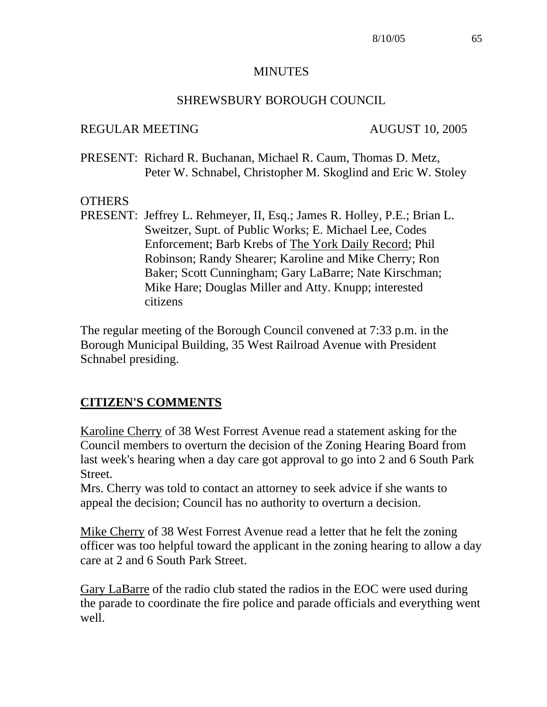#### MINUTES

# SHREWSBURY BOROUGH COUNCIL

# REGULAR MEETING AUGUST 10, 2005

PRESENT: Richard R. Buchanan, Michael R. Caum, Thomas D. Metz, Peter W. Schnabel, Christopher M. Skoglind and Eric W. Stoley

# **OTHERS**

PRESENT: Jeffrey L. Rehmeyer, II, Esq.; James R. Holley, P.E.; Brian L. Sweitzer, Supt. of Public Works; E. Michael Lee, Codes Enforcement; Barb Krebs of The York Daily Record; Phil Robinson; Randy Shearer; Karoline and Mike Cherry; Ron Baker; Scott Cunningham; Gary LaBarre; Nate Kirschman; Mike Hare; Douglas Miller and Atty. Knupp; interested citizens

The regular meeting of the Borough Council convened at 7:33 p.m. in the Borough Municipal Building, 35 West Railroad Avenue with President Schnabel presiding.

# **CITIZEN'S COMMENTS**

Karoline Cherry of 38 West Forrest Avenue read a statement asking for the Council members to overturn the decision of the Zoning Hearing Board from last week's hearing when a day care got approval to go into 2 and 6 South Park Street.

Mrs. Cherry was told to contact an attorney to seek advice if she wants to appeal the decision; Council has no authority to overturn a decision.

Mike Cherry of 38 West Forrest Avenue read a letter that he felt the zoning officer was too helpful toward the applicant in the zoning hearing to allow a day care at 2 and 6 South Park Street.

Gary LaBarre of the radio club stated the radios in the EOC were used during the parade to coordinate the fire police and parade officials and everything went well.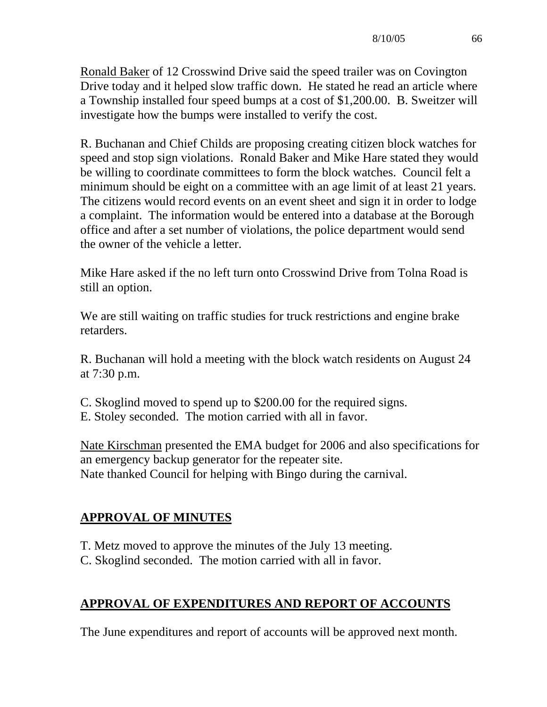Ronald Baker of 12 Crosswind Drive said the speed trailer was on Covington Drive today and it helped slow traffic down. He stated he read an article where a Township installed four speed bumps at a cost of \$1,200.00. B. Sweitzer will investigate how the bumps were installed to verify the cost.

R. Buchanan and Chief Childs are proposing creating citizen block watches for speed and stop sign violations. Ronald Baker and Mike Hare stated they would be willing to coordinate committees to form the block watches. Council felt a minimum should be eight on a committee with an age limit of at least 21 years. The citizens would record events on an event sheet and sign it in order to lodge a complaint. The information would be entered into a database at the Borough office and after a set number of violations, the police department would send the owner of the vehicle a letter.

Mike Hare asked if the no left turn onto Crosswind Drive from Tolna Road is still an option.

We are still waiting on traffic studies for truck restrictions and engine brake retarders.

R. Buchanan will hold a meeting with the block watch residents on August 24 at 7:30 p.m.

- C. Skoglind moved to spend up to \$200.00 for the required signs.
- E. Stoley seconded. The motion carried with all in favor.

Nate Kirschman presented the EMA budget for 2006 and also specifications for an emergency backup generator for the repeater site. Nate thanked Council for helping with Bingo during the carnival.

# **APPROVAL OF MINUTES**

- T. Metz moved to approve the minutes of the July 13 meeting.
- C. Skoglind seconded. The motion carried with all in favor.

# **APPROVAL OF EXPENDITURES AND REPORT OF ACCOUNTS**

The June expenditures and report of accounts will be approved next month.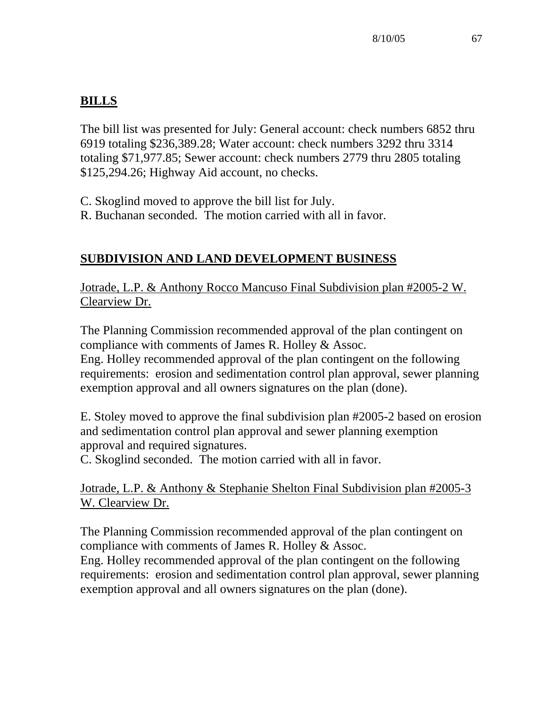# **BILLS**

The bill list was presented for July: General account: check numbers 6852 thru 6919 totaling \$236,389.28; Water account: check numbers 3292 thru 3314 totaling \$71,977.85; Sewer account: check numbers 2779 thru 2805 totaling \$125,294.26; Highway Aid account, no checks.

C. Skoglind moved to approve the bill list for July.

R. Buchanan seconded. The motion carried with all in favor.

# **SUBDIVISION AND LAND DEVELOPMENT BUSINESS**

Jotrade, L.P. & Anthony Rocco Mancuso Final Subdivision plan #2005-2 W. Clearview Dr.

The Planning Commission recommended approval of the plan contingent on compliance with comments of James R. Holley & Assoc.

Eng. Holley recommended approval of the plan contingent on the following requirements: erosion and sedimentation control plan approval, sewer planning exemption approval and all owners signatures on the plan (done).

E. Stoley moved to approve the final subdivision plan #2005-2 based on erosion and sedimentation control plan approval and sewer planning exemption approval and required signatures.

C. Skoglind seconded. The motion carried with all in favor.

Jotrade, L.P. & Anthony & Stephanie Shelton Final Subdivision plan #2005-3 W. Clearview Dr.

The Planning Commission recommended approval of the plan contingent on compliance with comments of James R. Holley & Assoc.

Eng. Holley recommended approval of the plan contingent on the following requirements: erosion and sedimentation control plan approval, sewer planning exemption approval and all owners signatures on the plan (done).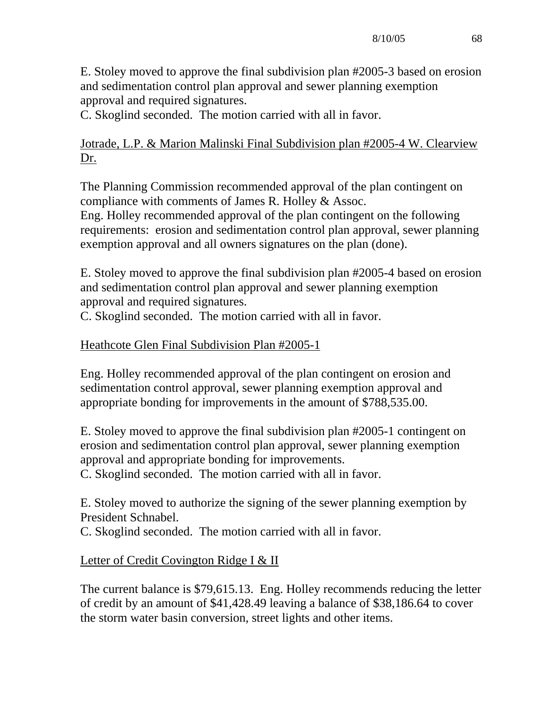E. Stoley moved to approve the final subdivision plan #2005-3 based on erosion and sedimentation control plan approval and sewer planning exemption approval and required signatures.

C. Skoglind seconded. The motion carried with all in favor.

# Jotrade, L.P. & Marion Malinski Final Subdivision plan #2005-4 W. Clearview Dr.

The Planning Commission recommended approval of the plan contingent on compliance with comments of James R. Holley & Assoc.

Eng. Holley recommended approval of the plan contingent on the following requirements: erosion and sedimentation control plan approval, sewer planning exemption approval and all owners signatures on the plan (done).

E. Stoley moved to approve the final subdivision plan #2005-4 based on erosion and sedimentation control plan approval and sewer planning exemption approval and required signatures.

C. Skoglind seconded. The motion carried with all in favor.

# Heathcote Glen Final Subdivision Plan #2005-1

Eng. Holley recommended approval of the plan contingent on erosion and sedimentation control approval, sewer planning exemption approval and appropriate bonding for improvements in the amount of \$788,535.00.

E. Stoley moved to approve the final subdivision plan #2005-1 contingent on erosion and sedimentation control plan approval, sewer planning exemption approval and appropriate bonding for improvements.

C. Skoglind seconded. The motion carried with all in favor.

E. Stoley moved to authorize the signing of the sewer planning exemption by President Schnabel.

C. Skoglind seconded. The motion carried with all in favor.

# Letter of Credit Covington Ridge I & II

The current balance is \$79,615.13. Eng. Holley recommends reducing the letter of credit by an amount of \$41,428.49 leaving a balance of \$38,186.64 to cover the storm water basin conversion, street lights and other items.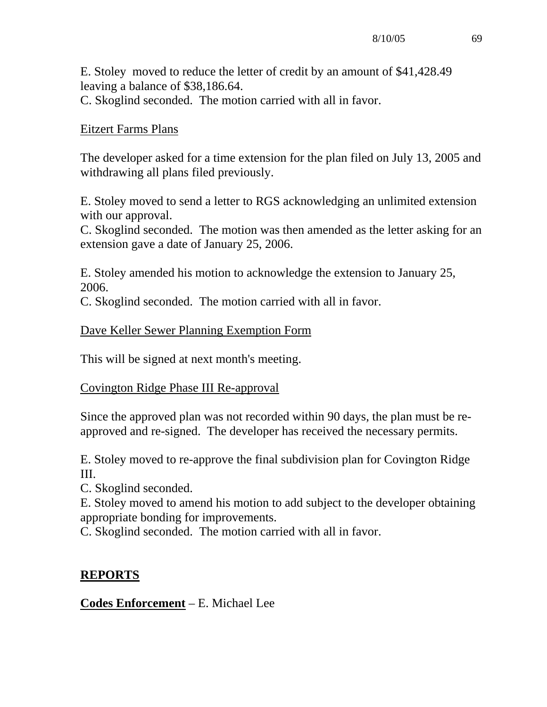E. Stoley moved to reduce the letter of credit by an amount of \$41,428.49 leaving a balance of \$38,186.64. C. Skoglind seconded. The motion carried with all in favor.

# Eitzert Farms Plans

The developer asked for a time extension for the plan filed on July 13, 2005 and withdrawing all plans filed previously.

E. Stoley moved to send a letter to RGS acknowledging an unlimited extension with our approval.

C. Skoglind seconded. The motion was then amended as the letter asking for an extension gave a date of January 25, 2006.

E. Stoley amended his motion to acknowledge the extension to January 25, 2006.

C. Skoglind seconded. The motion carried with all in favor.

# Dave Keller Sewer Planning Exemption Form

This will be signed at next month's meeting.

# Covington Ridge Phase III Re-approval

Since the approved plan was not recorded within 90 days, the plan must be reapproved and re-signed. The developer has received the necessary permits.

E. Stoley moved to re-approve the final subdivision plan for Covington Ridge III.

C. Skoglind seconded.

E. Stoley moved to amend his motion to add subject to the developer obtaining appropriate bonding for improvements.

C. Skoglind seconded. The motion carried with all in favor.

# **REPORTS**

# **Codes Enforcement** – E. Michael Lee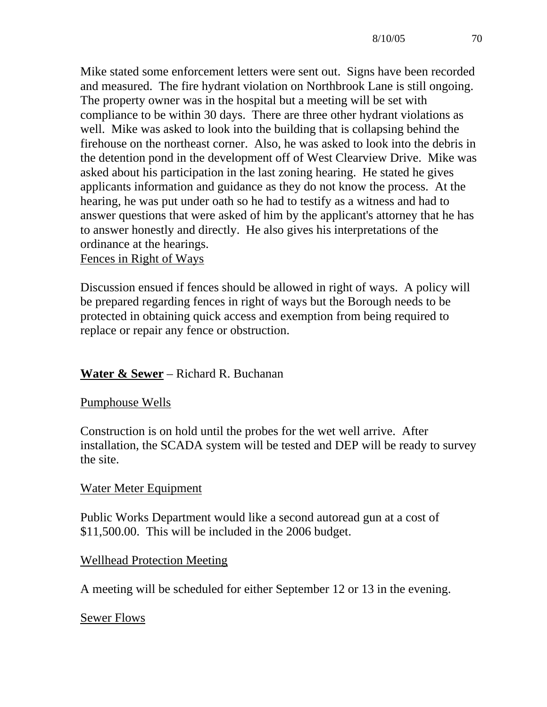Mike stated some enforcement letters were sent out. Signs have been recorded and measured. The fire hydrant violation on Northbrook Lane is still ongoing. The property owner was in the hospital but a meeting will be set with compliance to be within 30 days. There are three other hydrant violations as well. Mike was asked to look into the building that is collapsing behind the firehouse on the northeast corner. Also, he was asked to look into the debris in the detention pond in the development off of West Clearview Drive. Mike was asked about his participation in the last zoning hearing. He stated he gives applicants information and guidance as they do not know the process. At the hearing, he was put under oath so he had to testify as a witness and had to answer questions that were asked of him by the applicant's attorney that he has to answer honestly and directly. He also gives his interpretations of the ordinance at the hearings.

Fences in Right of Ways

Discussion ensued if fences should be allowed in right of ways. A policy will be prepared regarding fences in right of ways but the Borough needs to be protected in obtaining quick access and exemption from being required to replace or repair any fence or obstruction.

# **Water & Sewer** – Richard R. Buchanan

#### Pumphouse Wells

Construction is on hold until the probes for the wet well arrive. After installation, the SCADA system will be tested and DEP will be ready to survey the site.

# Water Meter Equipment

Public Works Department would like a second autoread gun at a cost of \$11,500.00. This will be included in the 2006 budget.

# Wellhead Protection Meeting

A meeting will be scheduled for either September 12 or 13 in the evening.

# Sewer Flows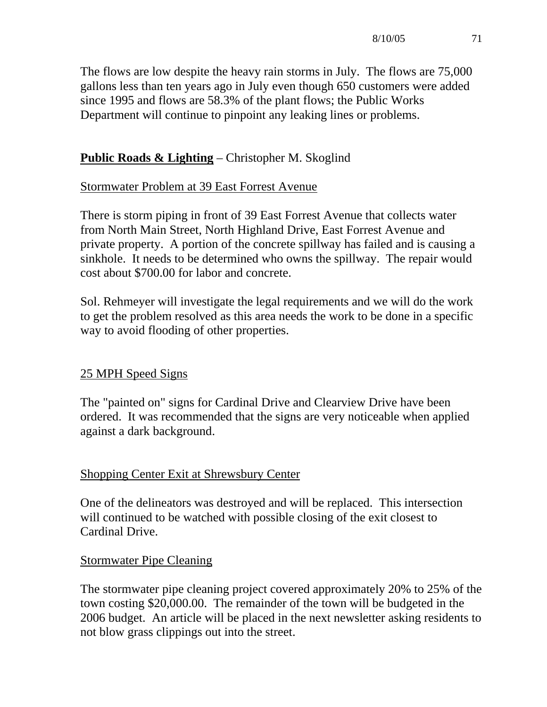The flows are low despite the heavy rain storms in July. The flows are 75,000 gallons less than ten years ago in July even though 650 customers were added since 1995 and flows are 58.3% of the plant flows; the Public Works Department will continue to pinpoint any leaking lines or problems.

# **Public Roads & Lighting** – Christopher M. Skoglind

# Stormwater Problem at 39 East Forrest Avenue

There is storm piping in front of 39 East Forrest Avenue that collects water from North Main Street, North Highland Drive, East Forrest Avenue and private property. A portion of the concrete spillway has failed and is causing a sinkhole. It needs to be determined who owns the spillway. The repair would cost about \$700.00 for labor and concrete.

Sol. Rehmeyer will investigate the legal requirements and we will do the work to get the problem resolved as this area needs the work to be done in a specific way to avoid flooding of other properties.

# 25 MPH Speed Signs

The "painted on" signs for Cardinal Drive and Clearview Drive have been ordered. It was recommended that the signs are very noticeable when applied against a dark background.

# Shopping Center Exit at Shrewsbury Center

One of the delineators was destroyed and will be replaced. This intersection will continued to be watched with possible closing of the exit closest to Cardinal Drive.

# Stormwater Pipe Cleaning

The stormwater pipe cleaning project covered approximately 20% to 25% of the town costing \$20,000.00. The remainder of the town will be budgeted in the 2006 budget. An article will be placed in the next newsletter asking residents to not blow grass clippings out into the street.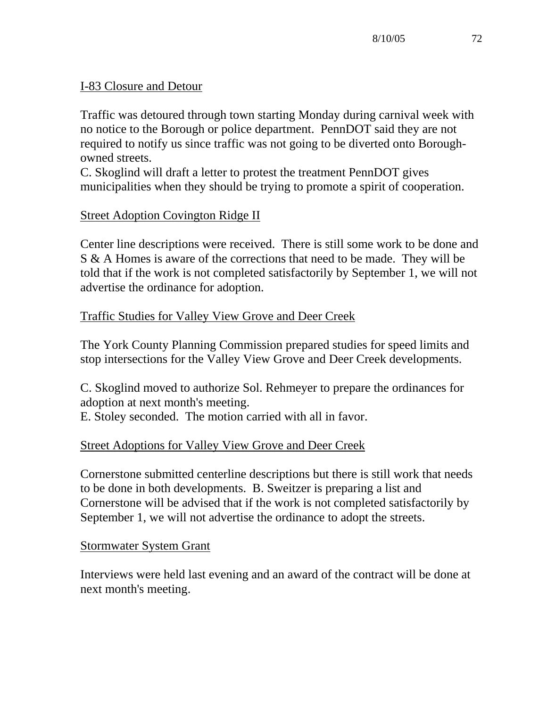# I-83 Closure and Detour

Traffic was detoured through town starting Monday during carnival week with no notice to the Borough or police department. PennDOT said they are not required to notify us since traffic was not going to be diverted onto Boroughowned streets.

C. Skoglind will draft a letter to protest the treatment PennDOT gives municipalities when they should be trying to promote a spirit of cooperation.

# Street Adoption Covington Ridge II

Center line descriptions were received. There is still some work to be done and S & A Homes is aware of the corrections that need to be made. They will be told that if the work is not completed satisfactorily by September 1, we will not advertise the ordinance for adoption.

# Traffic Studies for Valley View Grove and Deer Creek

The York County Planning Commission prepared studies for speed limits and stop intersections for the Valley View Grove and Deer Creek developments.

C. Skoglind moved to authorize Sol. Rehmeyer to prepare the ordinances for adoption at next month's meeting.

E. Stoley seconded. The motion carried with all in favor.

# Street Adoptions for Valley View Grove and Deer Creek

Cornerstone submitted centerline descriptions but there is still work that needs to be done in both developments. B. Sweitzer is preparing a list and Cornerstone will be advised that if the work is not completed satisfactorily by September 1, we will not advertise the ordinance to adopt the streets.

# Stormwater System Grant

Interviews were held last evening and an award of the contract will be done at next month's meeting.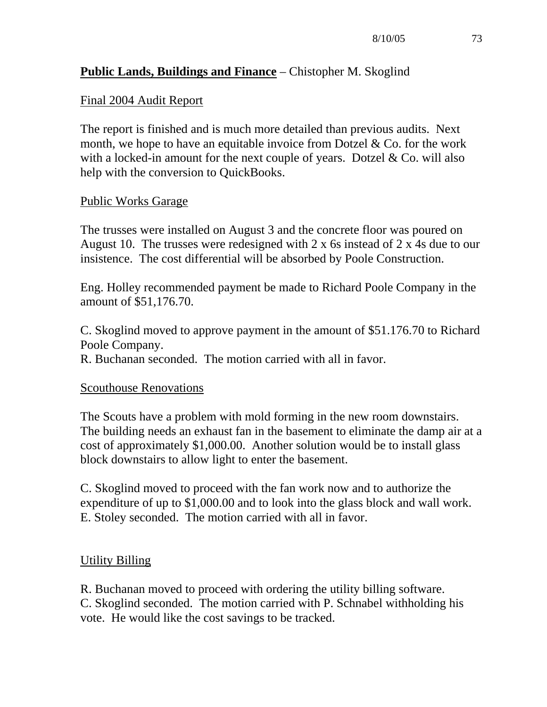# **Public Lands, Buildings and Finance** – Chistopher M. Skoglind

# Final 2004 Audit Report

The report is finished and is much more detailed than previous audits. Next month, we hope to have an equitable invoice from Dotzel  $& Co.$  for the work with a locked-in amount for the next couple of years. Dotzel  $&$  Co. will also help with the conversion to QuickBooks.

### Public Works Garage

The trusses were installed on August 3 and the concrete floor was poured on August 10. The trusses were redesigned with 2 x 6s instead of 2 x 4s due to our insistence. The cost differential will be absorbed by Poole Construction.

Eng. Holley recommended payment be made to Richard Poole Company in the amount of \$51,176.70.

C. Skoglind moved to approve payment in the amount of \$51.176.70 to Richard Poole Company.

R. Buchanan seconded. The motion carried with all in favor.

#### Scouthouse Renovations

The Scouts have a problem with mold forming in the new room downstairs. The building needs an exhaust fan in the basement to eliminate the damp air at a cost of approximately \$1,000.00. Another solution would be to install glass block downstairs to allow light to enter the basement.

C. Skoglind moved to proceed with the fan work now and to authorize the expenditure of up to \$1,000.00 and to look into the glass block and wall work. E. Stoley seconded. The motion carried with all in favor.

# Utility Billing

R. Buchanan moved to proceed with ordering the utility billing software. C. Skoglind seconded. The motion carried with P. Schnabel withholding his vote. He would like the cost savings to be tracked.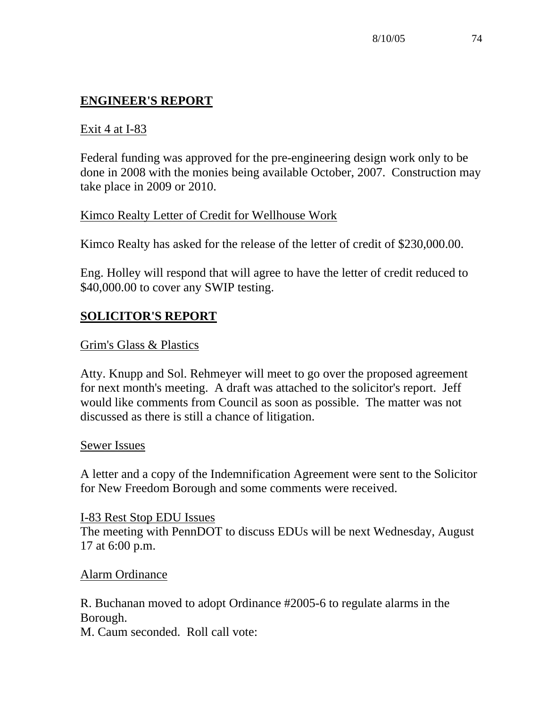# **ENGINEER'S REPORT**

# Exit 4 at I-83

Federal funding was approved for the pre-engineering design work only to be done in 2008 with the monies being available October, 2007. Construction may take place in 2009 or 2010.

# Kimco Realty Letter of Credit for Wellhouse Work

Kimco Realty has asked for the release of the letter of credit of \$230,000.00.

Eng. Holley will respond that will agree to have the letter of credit reduced to \$40,000.00 to cover any SWIP testing.

# **SOLICITOR'S REPORT**

# Grim's Glass & Plastics

Atty. Knupp and Sol. Rehmeyer will meet to go over the proposed agreement for next month's meeting. A draft was attached to the solicitor's report. Jeff would like comments from Council as soon as possible. The matter was not discussed as there is still a chance of litigation.

# Sewer Issues

A letter and a copy of the Indemnification Agreement were sent to the Solicitor for New Freedom Borough and some comments were received.

I-83 Rest Stop EDU Issues The meeting with PennDOT to discuss EDUs will be next Wednesday, August 17 at 6:00 p.m.

# Alarm Ordinance

R. Buchanan moved to adopt Ordinance #2005-6 to regulate alarms in the Borough.

M. Caum seconded. Roll call vote: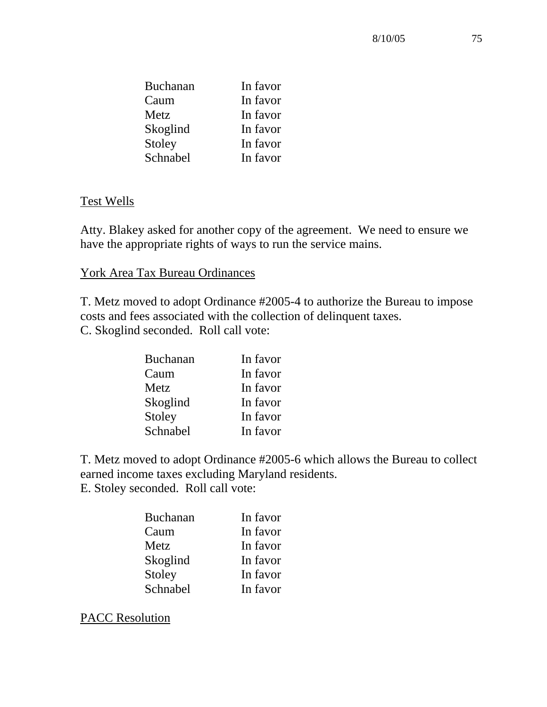| <b>Buchanan</b> | In favor |
|-----------------|----------|
| Caum            | In favor |
| Metz            | In favor |
| Skoglind        | In favor |
| Stoley          | In favor |
| Schnabel        | In favor |

### Test Wells

Atty. Blakey asked for another copy of the agreement. We need to ensure we have the appropriate rights of ways to run the service mains.

### York Area Tax Bureau Ordinances

T. Metz moved to adopt Ordinance #2005-4 to authorize the Bureau to impose costs and fees associated with the collection of delinquent taxes. C. Skoglind seconded. Roll call vote:

| <b>Buchanan</b> | In favor |
|-----------------|----------|
| Caum            | In favor |
| Metz            | In favor |
| Skoglind        | In favor |
| Stoley          | In favor |
| Schnabel        | In favor |

T. Metz moved to adopt Ordinance #2005-6 which allows the Bureau to collect earned income taxes excluding Maryland residents. E. Stoley seconded. Roll call vote:

| <b>Buchanan</b> | In favor |
|-----------------|----------|
| Caum            | In favor |
| Metz            | In favor |
| Skoglind        | In favor |
| Stoley          | In favor |
| Schnabel        | In favor |

PACC Resolution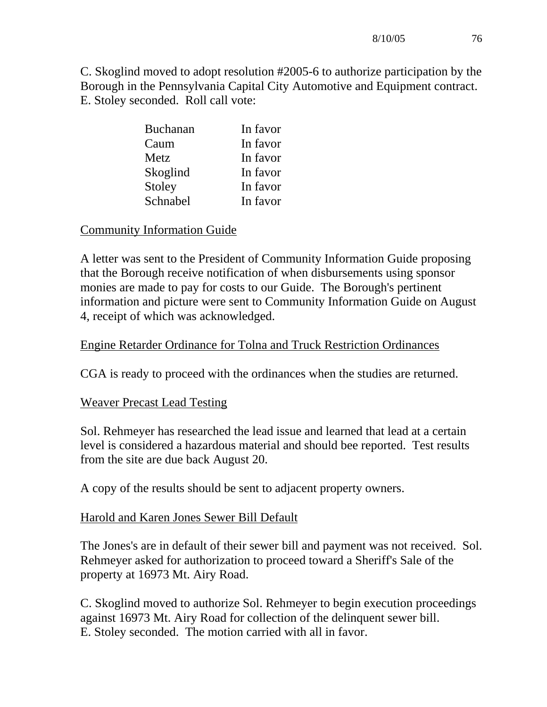C. Skoglind moved to adopt resolution #2005-6 to authorize participation by the Borough in the Pennsylvania Capital City Automotive and Equipment contract. E. Stoley seconded. Roll call vote:

| <b>Buchanan</b> | In favor |
|-----------------|----------|
| Caum            | In favor |
| Metz            | In favor |
| Skoglind        | In favor |
| Stoley          | In favor |
| Schnabel        | In favor |

# Community Information Guide

A letter was sent to the President of Community Information Guide proposing that the Borough receive notification of when disbursements using sponsor monies are made to pay for costs to our Guide. The Borough's pertinent information and picture were sent to Community Information Guide on August 4, receipt of which was acknowledged.

# Engine Retarder Ordinance for Tolna and Truck Restriction Ordinances

CGA is ready to proceed with the ordinances when the studies are returned.

# Weaver Precast Lead Testing

Sol. Rehmeyer has researched the lead issue and learned that lead at a certain level is considered a hazardous material and should bee reported. Test results from the site are due back August 20.

A copy of the results should be sent to adjacent property owners.

# Harold and Karen Jones Sewer Bill Default

The Jones's are in default of their sewer bill and payment was not received. Sol. Rehmeyer asked for authorization to proceed toward a Sheriff's Sale of the property at 16973 Mt. Airy Road.

C. Skoglind moved to authorize Sol. Rehmeyer to begin execution proceedings against 16973 Mt. Airy Road for collection of the delinquent sewer bill. E. Stoley seconded. The motion carried with all in favor.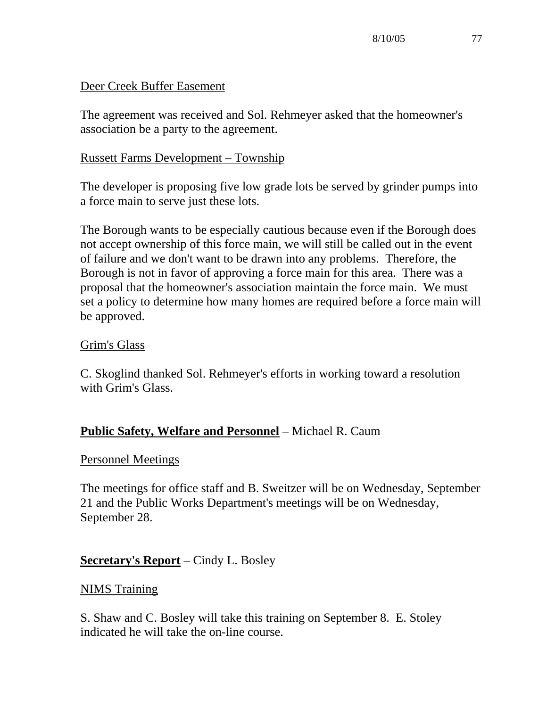# Deer Creek Buffer Easement

The agreement was received and Sol. Rehmeyer asked that the homeowner's association be a party to the agreement.

# Russett Farms Development – Township

The developer is proposing five low grade lots be served by grinder pumps into a force main to serve just these lots.

The Borough wants to be especially cautious because even if the Borough does not accept ownership of this force main, we will still be called out in the event of failure and we don't want to be drawn into any problems. Therefore, the Borough is not in favor of approving a force main for this area. There was a proposal that the homeowner's association maintain the force main. We must set a policy to determine how many homes are required before a force main will be approved.

# Grim's Glass

C. Skoglind thanked Sol. Rehmeyer's efforts in working toward a resolution with Grim's Glass.

# **Public Safety, Welfare and Personnel** – Michael R. Caum

# Personnel Meetings

The meetings for office staff and B. Sweitzer will be on Wednesday, September 21 and the Public Works Department's meetings will be on Wednesday, September 28.

# **Secretary's Report** – Cindy L. Bosley

# NIMS Training

S. Shaw and C. Bosley will take this training on September 8. E. Stoley indicated he will take the on-line course.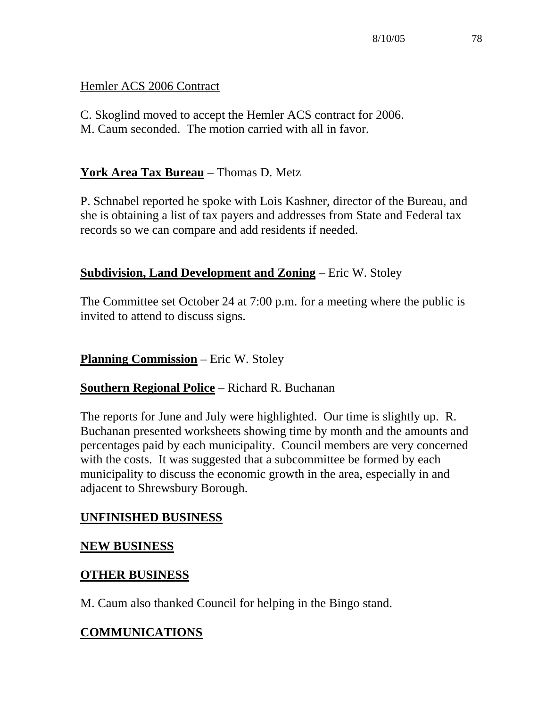# Hemler ACS 2006 Contract

C. Skoglind moved to accept the Hemler ACS contract for 2006. M. Caum seconded. The motion carried with all in favor.

# **York Area Tax Bureau** – Thomas D. Metz

P. Schnabel reported he spoke with Lois Kashner, director of the Bureau, and she is obtaining a list of tax payers and addresses from State and Federal tax records so we can compare and add residents if needed.

# **Subdivision, Land Development and Zoning** – Eric W. Stoley

The Committee set October 24 at 7:00 p.m. for a meeting where the public is invited to attend to discuss signs.

**Planning Commission** – Eric W. Stoley

# **Southern Regional Police** – Richard R. Buchanan

The reports for June and July were highlighted. Our time is slightly up. R. Buchanan presented worksheets showing time by month and the amounts and percentages paid by each municipality. Council members are very concerned with the costs. It was suggested that a subcommittee be formed by each municipality to discuss the economic growth in the area, especially in and adjacent to Shrewsbury Borough.

# **UNFINISHED BUSINESS**

# **NEW BUSINESS**

# **OTHER BUSINESS**

M. Caum also thanked Council for helping in the Bingo stand.

# **COMMUNICATIONS**